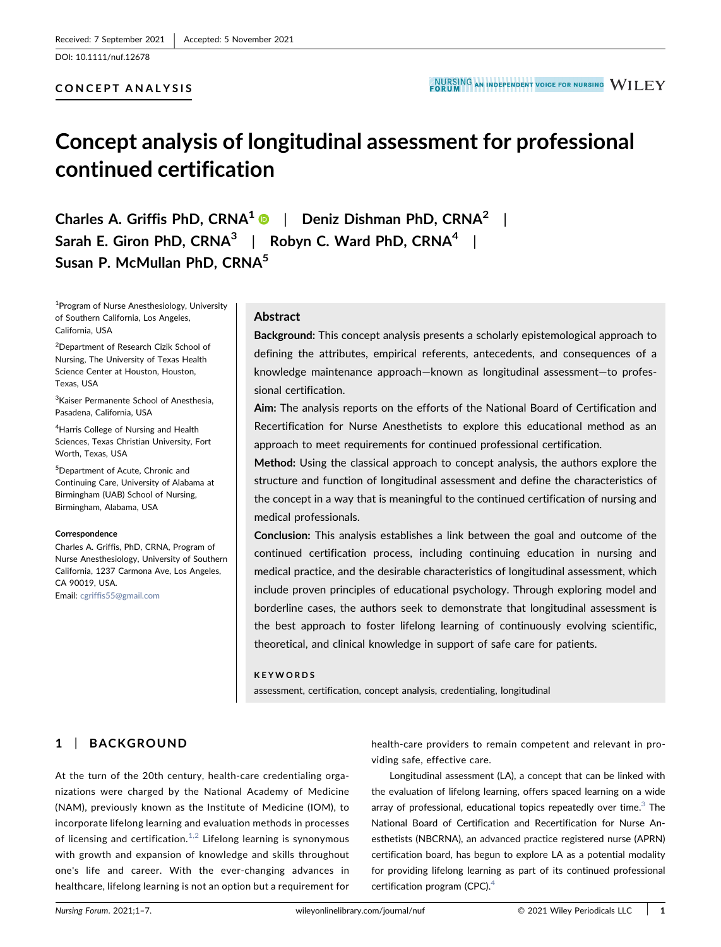DOI: 10.1111/nuf.12678

#### CONCEPT ANALYSIS

# Concept analysis of longitudinal assessment for professional continued certification

Charles A. Griffis PhD,  $CRNA^1 \cdot \cdot \cdot$  Deniz Dishman PhD,  $CRNA^2$  | Sarah E. Giron PhD, CRNA<sup>3</sup> | Robyn C. Ward PhD, CRNA<sup>4</sup> | Susan P. McMullan PhD, CRNA<sup>5</sup>

1 Program of Nurse Anesthesiology, University of Southern California, Los Angeles, California, USA

2 Department of Research Cizik School of Nursing, The University of Texas Health Science Center at Houston, Houston, Texas, USA

<sup>3</sup> Kaiser Permanente School of Anesthesia, Pasadena, California, USA

4 Harris College of Nursing and Health Sciences, Texas Christian University, Fort Worth, Texas, USA

5 Department of Acute, Chronic and Continuing Care, University of Alabama at Birmingham (UAB) School of Nursing, Birmingham, Alabama, USA

#### **Correspondence**

Charles A. Griffis, PhD, CRNA, Program of Nurse Anesthesiology, University of Southern California, 1237 Carmona Ave, Los Angeles, CA 90019, USA.

Email: [cgriffis55@gmail.com](mailto:cgriffis55@gmail.com)

#### Abstract

Background: This concept analysis presents a scholarly epistemological approach to defining the attributes, empirical referents, antecedents, and consequences of a knowledge maintenance approach—known as longitudinal assessment—to professional certification.

Aim: The analysis reports on the efforts of the National Board of Certification and Recertification for Nurse Anesthetists to explore this educational method as an approach to meet requirements for continued professional certification.

Method: Using the classical approach to concept analysis, the authors explore the structure and function of longitudinal assessment and define the characteristics of the concept in a way that is meaningful to the continued certification of nursing and medical professionals.

Conclusion: This analysis establishes a link between the goal and outcome of the continued certification process, including continuing education in nursing and medical practice, and the desirable characteristics of longitudinal assessment, which include proven principles of educational psychology. Through exploring model and borderline cases, the authors seek to demonstrate that longitudinal assessment is the best approach to foster lifelong learning of continuously evolving scientific, theoretical, and clinical knowledge in support of safe care for patients.

#### KEYWORDS

assessment, certification, concept analysis, credentialing, longitudinal

# 1 | BACKGROUND

At the turn of the 20th century, health‐care credentialing organizations were charged by the National Academy of Medicine (NAM), previously known as the Institute of Medicine (IOM), to incorporate lifelong learning and evaluation methods in processes of licensing and certification.<sup>[1,2](#page-5-0)</sup> Lifelong learning is synonymous with growth and expansion of knowledge and skills throughout one's life and career. With the ever‐changing advances in healthcare, lifelong learning is not an option but a requirement for health-care providers to remain competent and relevant in providing safe, effective care.

Longitudinal assessment (LA), a concept that can be linked with the evaluation of lifelong learning, offers spaced learning on a wide array of professional, educational topics repeatedly over time. $3$  The National Board of Certification and Recertification for Nurse Anesthetists (NBCRNA), an advanced practice registered nurse (APRN) certification board, has begun to explore LA as a potential modality for providing lifelong learning as part of its continued professional certification program (CPC).<sup>[4](#page-5-2)</sup>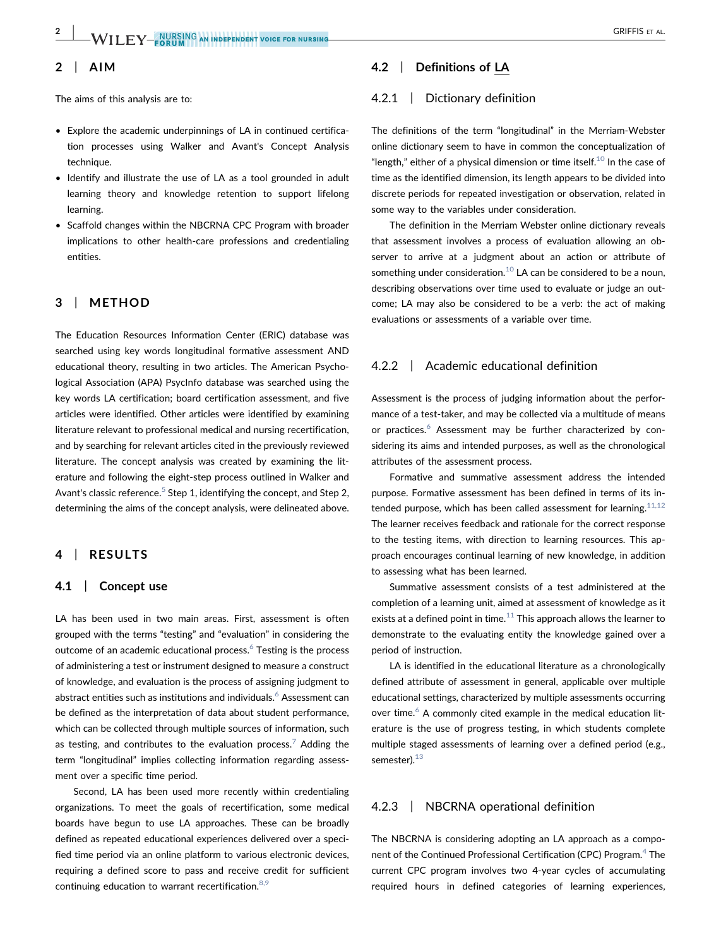# $-\mathsf{W}\mathsf{H}$  if  $\mathsf{Y}-$  nursing an independent voice for nursing  $-\mathsf{W}\mathsf{H}$  . Griffis et al.

# 2 | AIM

The aims of this analysis are to:

- Explore the academic underpinnings of LA in continued certification processes using Walker and Avant's Concept Analysis technique.
- Identify and illustrate the use of LA as a tool grounded in adult learning theory and knowledge retention to support lifelong learning.
- Scaffold changes within the NBCRNA CPC Program with broader implications to other health‐care professions and credentialing entities.

# 3 | METHOD

The Education Resources Information Center (ERIC) database was searched using key words longitudinal formative assessment AND educational theory, resulting in two articles. The American Psychological Association (APA) PsycInfo database was searched using the key words LA certification; board certification assessment, and five articles were identified. Other articles were identified by examining literature relevant to professional medical and nursing recertification, and by searching for relevant articles cited in the previously reviewed literature. The concept analysis was created by examining the literature and following the eight‐step process outlined in Walker and Avant's classic reference.<sup>[5](#page-5-3)</sup> Step 1, identifying the concept, and Step 2, determining the aims of the concept analysis, were delineated above.

# 4 | RESULTS

#### 4.1 | Concept use

LA has been used in two main areas. First, assessment is often grouped with the terms "testing" and "evaluation" in considering the outcome of an academic educational process.<sup>6</sup> Testing is the process of administering a test or instrument designed to measure a construct of knowledge, and evaluation is the process of assigning judgment to abstract entities such as institutions and individuals.<sup>[6](#page-5-4)</sup> Assessment can be defined as the interpretation of data about student performance, which can be collected through multiple sources of information, such as testing, and contributes to the evaluation process.<sup>[7](#page-5-5)</sup> Adding the term "longitudinal" implies collecting information regarding assessment over a specific time period.

Second, LA has been used more recently within credentialing organizations. To meet the goals of recertification, some medical boards have begun to use LA approaches. These can be broadly defined as repeated educational experiences delivered over a specified time period via an online platform to various electronic devices, requiring a defined score to pass and receive credit for sufficient continuing education to warrant recertification.  $8,9$ 

# 4.2 | Definitions of LA

#### 4.2.1 | Dictionary definition

The definitions of the term "longitudinal" in the Merriam‐Webster online dictionary seem to have in common the conceptualization of "length," either of a physical dimension or time itself. $^{10}$  $^{10}$  $^{10}$  In the case of time as the identified dimension, its length appears to be divided into discrete periods for repeated investigation or observation, related in some way to the variables under consideration.

The definition in the Merriam Webster online dictionary reveals that assessment involves a process of evaluation allowing an observer to arrive at a judgment about an action or attribute of something under consideration. $10$  LA can be considered to be a noun, describing observations over time used to evaluate or judge an outcome; LA may also be considered to be a verb: the act of making evaluations or assessments of a variable over time.

#### 4.2.2 | Academic educational definition

Assessment is the process of judging information about the performance of a test-taker, and may be collected via a multitude of means or practices.<sup>[6](#page-5-4)</sup> Assessment may be further characterized by considering its aims and intended purposes, as well as the chronological attributes of the assessment process.

Formative and summative assessment address the intended purpose. Formative assessment has been defined in terms of its intended purpose, which has been called assessment for learning. $11,12$ The learner receives feedback and rationale for the correct response to the testing items, with direction to learning resources. This approach encourages continual learning of new knowledge, in addition to assessing what has been learned.

Summative assessment consists of a test administered at the completion of a learning unit, aimed at assessment of knowledge as it exists at a defined point in time. $11$  This approach allows the learner to demonstrate to the evaluating entity the knowledge gained over a period of instruction.

LA is identified in the educational literature as a chronologically defined attribute of assessment in general, applicable over multiple educational settings, characterized by multiple assessments occurring over time. $6$  A commonly cited example in the medical education literature is the use of progress testing, in which students complete multiple staged assessments of learning over a defined period (e.g., semester).<sup>[13](#page-6-2)</sup>

#### 4.2.3 | NBCRNA operational definition

The NBCRNA is considering adopting an LA approach as a compo-nent of the Continued Professional Certification (CPC) Program.<sup>[4](#page-5-2)</sup> The current CPC program involves two 4‐year cycles of accumulating required hours in defined categories of learning experiences,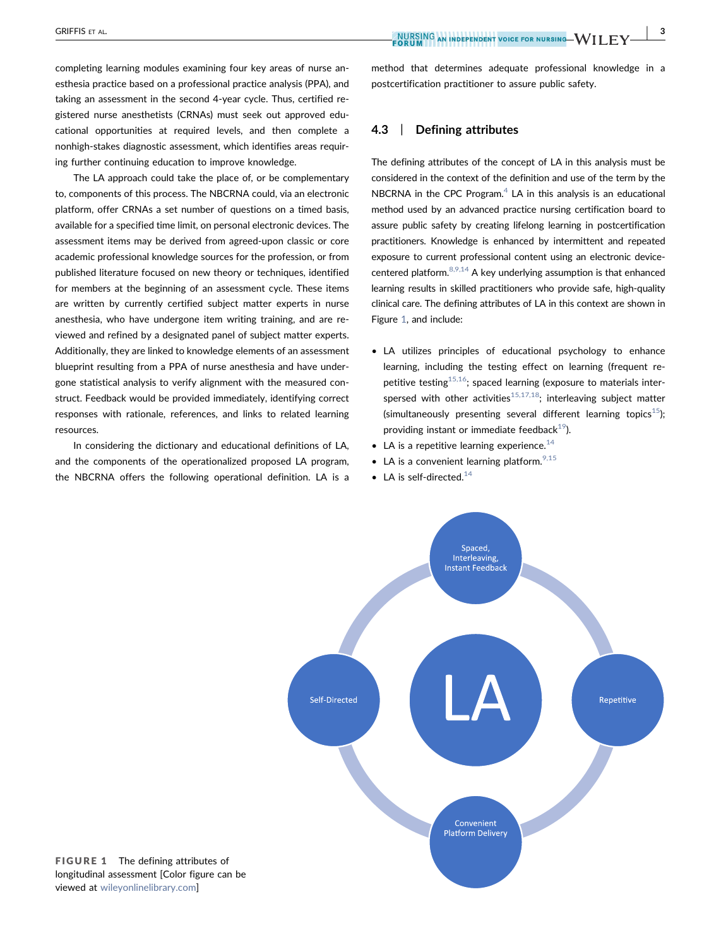completing learning modules examining four key areas of nurse anesthesia practice based on a professional practice analysis (PPA), and taking an assessment in the second 4‐year cycle. Thus, certified registered nurse anesthetists (CRNAs) must seek out approved educational opportunities at required levels, and then complete a nonhigh‐stakes diagnostic assessment, which identifies areas requiring further continuing education to improve knowledge.

The LA approach could take the place of, or be complementary to, components of this process. The NBCRNA could, via an electronic platform, offer CRNAs a set number of questions on a timed basis, available for a specified time limit, on personal electronic devices. The assessment items may be derived from agreed‐upon classic or core academic professional knowledge sources for the profession, or from published literature focused on new theory or techniques, identified for members at the beginning of an assessment cycle. These items are written by currently certified subject matter experts in nurse anesthesia, who have undergone item writing training, and are reviewed and refined by a designated panel of subject matter experts. Additionally, they are linked to knowledge elements of an assessment blueprint resulting from a PPA of nurse anesthesia and have undergone statistical analysis to verify alignment with the measured construct. Feedback would be provided immediately, identifying correct responses with rationale, references, and links to related learning resources.

<span id="page-2-0"></span>In considering the dictionary and educational definitions of LA, and the components of the operationalized proposed LA program, the NBCRNA offers the following operational definition. LA is a

method that determines adequate professional knowledge in a postcertification practitioner to assure public safety.

#### 4.3 | Defining attributes

The defining attributes of the concept of LA in this analysis must be considered in the context of the definition and use of the term by the NBCRNA in the CPC Program. $4$  LA in this analysis is an educational method used by an advanced practice nursing certification board to assure public safety by creating lifelong learning in postcertification practitioners. Knowledge is enhanced by intermittent and repeated exposure to current professional content using an electronic device‐ centered platform. $8,9,14$  A key underlying assumption is that enhanced learning results in skilled practitioners who provide safe, high-quality clinical care. The defining attributes of LA in this context are shown in Figure [1,](#page-2-0) and include:

- LA utilizes principles of educational psychology to enhance learning, including the testing effect on learning (frequent repetitive testing<sup>15,16</sup>; spaced learning (exposure to materials interspersed with other activities<sup>15,17,18</sup>; interleaving subject matter (simultaneously presenting several different learning topics<sup>[15](#page-6-3)</sup>); providing instant or immediate feedback $19$ ).
- LA is a repetitive learning experience.<sup>[14](#page-6-5)</sup>
- LA is a convenient learning platform.  $9,15$
- LA is self-directed.<sup>14</sup>



FIGURE 1 The defining attributes of longitudinal assessment [Color figure can be viewed at [wileyonlinelibrary.com](http://www.wileyonlinelibrary.com)]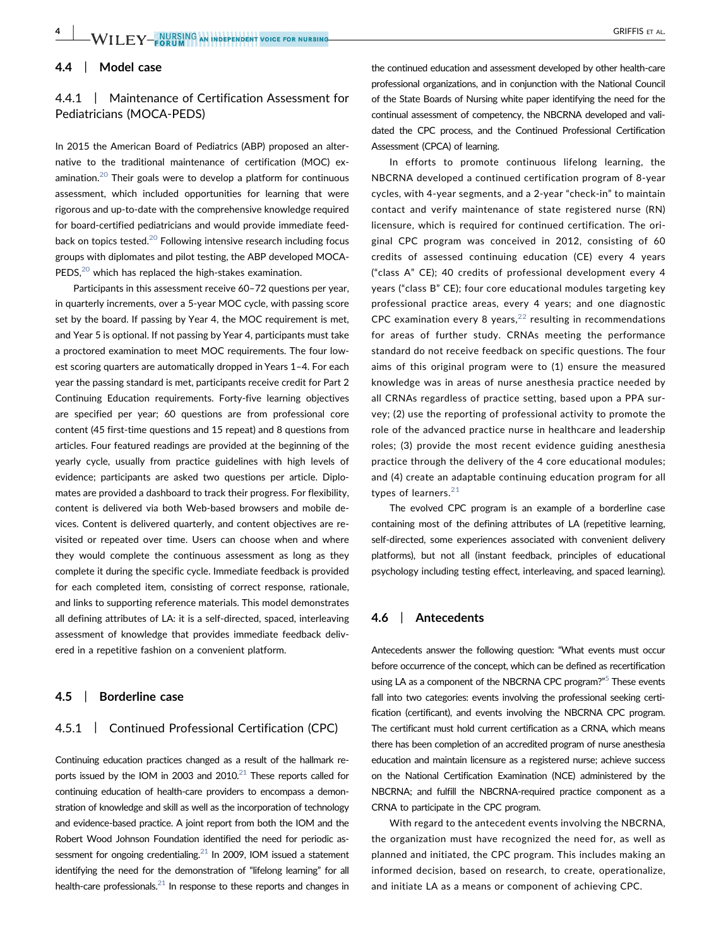# 4.4 | Model case

# 4.4.1 | Maintenance of Certification Assessment for Pediatricians (MOCA‐PEDS)

In 2015 the American Board of Pediatrics (ABP) proposed an alternative to the traditional maintenance of certification (MOC) examination.<sup>20</sup> Their goals were to develop a platform for continuous assessment, which included opportunities for learning that were rigorous and up‐to‐date with the comprehensive knowledge required for board‐certified pediatricians and would provide immediate feedback on topics tested. $20$  Following intensive research including focus groups with diplomates and pilot testing, the ABP developed MOCA‐ PEDS,<sup>[20](#page-6-6)</sup> which has replaced the high-stakes examination.

Participants in this assessment receive 60–72 questions per year, in quarterly increments, over a 5‐year MOC cycle, with passing score set by the board. If passing by Year 4, the MOC requirement is met, and Year 5 is optional. If not passing by Year 4, participants must take a proctored examination to meet MOC requirements. The four lowest scoring quarters are automatically dropped in Years 1–4. For each year the passing standard is met, participants receive credit for Part 2 Continuing Education requirements. Forty‐five learning objectives are specified per year; 60 questions are from professional core content (45 first-time questions and 15 repeat) and 8 questions from articles. Four featured readings are provided at the beginning of the yearly cycle, usually from practice guidelines with high levels of evidence; participants are asked two questions per article. Diplomates are provided a dashboard to track their progress. For flexibility, content is delivered via both Web‐based browsers and mobile devices. Content is delivered quarterly, and content objectives are revisited or repeated over time. Users can choose when and where they would complete the continuous assessment as long as they complete it during the specific cycle. Immediate feedback is provided for each completed item, consisting of correct response, rationale, and links to supporting reference materials. This model demonstrates all defining attributes of LA: it is a self‐directed, spaced, interleaving assessment of knowledge that provides immediate feedback delivered in a repetitive fashion on a convenient platform.

#### 4.5 | Borderline case

### 4.5.1 | Continued Professional Certification (CPC)

Continuing education practices changed as a result of the hallmark reports issued by the IOM in 2003 and 2010. $21$  These reports called for continuing education of health‐care providers to encompass a demonstration of knowledge and skill as well as the incorporation of technology and evidence‐based practice. A joint report from both the IOM and the Robert Wood Johnson Foundation identified the need for periodic assessment for ongoing credentialing. $^{21}$  In 2009, IOM issued a statement identifying the need for the demonstration of "lifelong learning" for all health-care professionals. $^{21}$  In response to these reports and changes in

the continued education and assessment developed by other health‐care professional organizations, and in conjunction with the National Council of the State Boards of Nursing white paper identifying the need for the continual assessment of competency, the NBCRNA developed and validated the CPC process, and the Continued Professional Certification Assessment (CPCA) of learning.

In efforts to promote continuous lifelong learning, the NBCRNA developed a continued certification program of 8‐year cycles, with 4‐year segments, and a 2‐year "check‐in" to maintain contact and verify maintenance of state registered nurse (RN) licensure, which is required for continued certification. The original CPC program was conceived in 2012, consisting of 60 credits of assessed continuing education (CE) every 4 years ("class A" CE); 40 credits of professional development every 4 years ("class B" CE); four core educational modules targeting key professional practice areas, every 4 years; and one diagnostic CPC examination every 8 years, $22$  resulting in recommendations for areas of further study. CRNAs meeting the performance standard do not receive feedback on specific questions. The four aims of this original program were to (1) ensure the measured knowledge was in areas of nurse anesthesia practice needed by all CRNAs regardless of practice setting, based upon a PPA survey; (2) use the reporting of professional activity to promote the role of the advanced practice nurse in healthcare and leadership roles; (3) provide the most recent evidence guiding anesthesia practice through the delivery of the 4 core educational modules; and (4) create an adaptable continuing education program for all types of learners. $21$ 

The evolved CPC program is an example of a borderline case containing most of the defining attributes of LA (repetitive learning, self-directed, some experiences associated with convenient delivery platforms), but not all (instant feedback, principles of educational psychology including testing effect, interleaving, and spaced learning).

#### 4.6 | Antecedents

Antecedents answer the following question: "What events must occur before occurrence of the concept, which can be defined as recertification using LA as a component of the NBCRNA CPC program?"<sup>[5](#page-5-3)</sup> These events fall into two categories: events involving the professional seeking certification (certificant), and events involving the NBCRNA CPC program. The certificant must hold current certification as a CRNA, which means there has been completion of an accredited program of nurse anesthesia education and maintain licensure as a registered nurse; achieve success on the National Certification Examination (NCE) administered by the NBCRNA; and fulfill the NBCRNA‐required practice component as a CRNA to participate in the CPC program.

With regard to the antecedent events involving the NBCRNA, the organization must have recognized the need for, as well as planned and initiated, the CPC program. This includes making an informed decision, based on research, to create, operationalize, and initiate LA as a means or component of achieving CPC.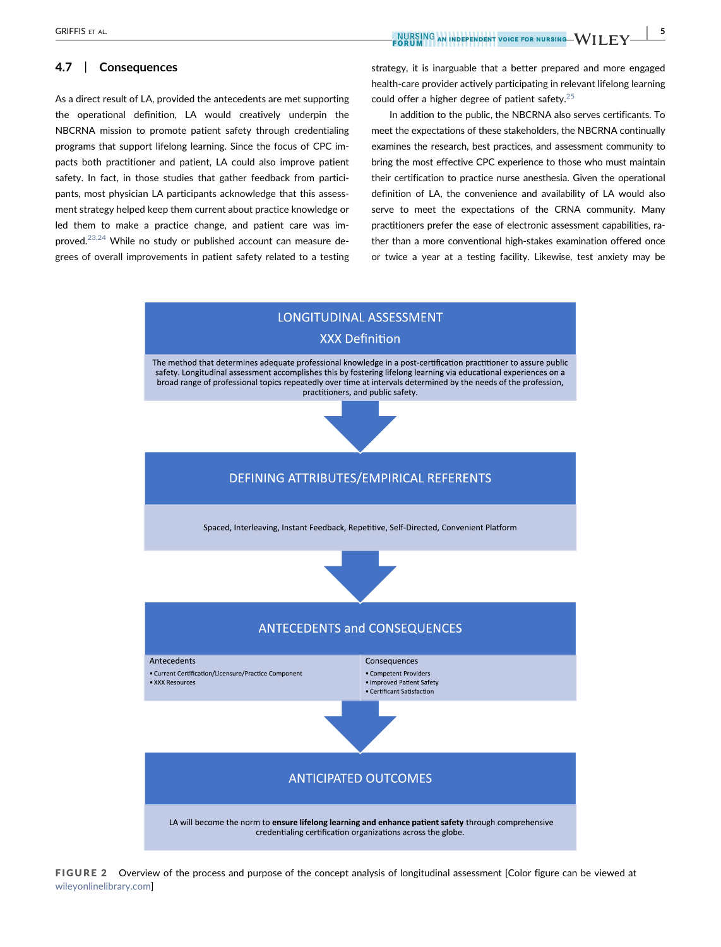# 4.7 | Consequences

As a direct result of LA, provided the antecedents are met supporting the operational definition, LA would creatively underpin the NBCRNA mission to promote patient safety through credentialing programs that support lifelong learning. Since the focus of CPC impacts both practitioner and patient, LA could also improve patient safety. In fact, in those studies that gather feedback from participants, most physician LA participants acknowledge that this assessment strategy helped keep them current about practice knowledge or led them to make a practice change, and patient care was improved.<sup>23,24</sup> While no study or published account can measure degrees of overall improvements in patient safety related to a testing strategy, it is inarguable that a better prepared and more engaged health-care provider actively participating in relevant lifelong learning could offer a higher degree of patient safety. $25$ 

In addition to the public, the NBCRNA also serves certificants. To meet the expectations of these stakeholders, the NBCRNA continually examines the research, best practices, and assessment community to bring the most effective CPC experience to those who must maintain their certification to practice nurse anesthesia. Given the operational definition of LA, the convenience and availability of LA would also serve to meet the expectations of the CRNA community. Many practitioners prefer the ease of electronic assessment capabilities, rather than a more conventional high‐stakes examination offered once or twice a year at a testing facility. Likewise, test anxiety may be

<span id="page-4-0"></span>

FIGURE 2 Overview of the process and purpose of the concept analysis of longitudinal assessment [Color figure can be viewed at [wileyonlinelibrary.com\]](http://www.wileyonlinelibrary.com)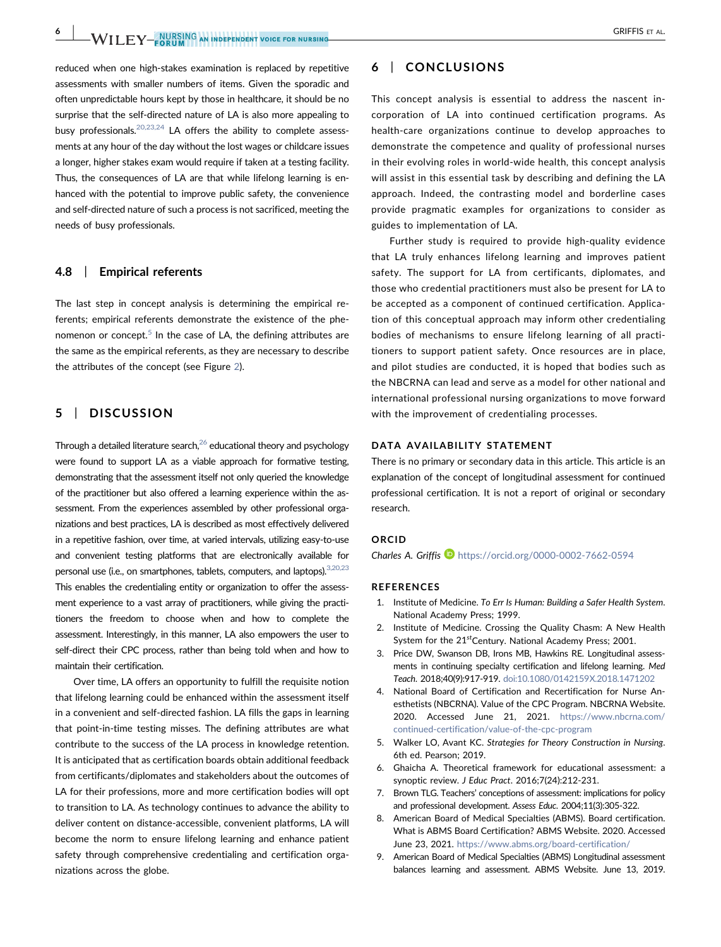6 | WII FV-AURSING AN INDEPENDENT VOICE FOR NURSING

reduced when one high-stakes examination is replaced by repetitive assessments with smaller numbers of items. Given the sporadic and often unpredictable hours kept by those in healthcare, it should be no surprise that the self-directed nature of LA is also more appealing to busy professionals.<sup>[20,23,24](#page-6-6)</sup> LA offers the ability to complete assessments at any hour of the day without the lost wages or childcare issues a longer, higher stakes exam would require if taken at a testing facility. Thus, the consequences of LA are that while lifelong learning is enhanced with the potential to improve public safety, the convenience and self‐directed nature of such a process is not sacrificed, meeting the needs of busy professionals.

#### 4.8 | Empirical referents

The last step in concept analysis is determining the empirical referents; empirical referents demonstrate the existence of the phenomenon or concept. $5$  In the case of LA, the defining attributes are the same as the empirical referents, as they are necessary to describe the attributes of the concept (see Figure [2\)](#page-4-0).

### 5 | DISCUSSION

Through a detailed literature search, $26$  educational theory and psychology were found to support LA as a viable approach for formative testing, demonstrating that the assessment itself not only queried the knowledge of the practitioner but also offered a learning experience within the assessment. From the experiences assembled by other professional organizations and best practices, LA is described as most effectively delivered in a repetitive fashion, over time, at varied intervals, utilizing easy‐to‐use and convenient testing platforms that are electronically available for personal use (i.e., on smartphones, tablets, computers, and laptops). [3,20,23](#page-5-1) This enables the credentialing entity or organization to offer the assessment experience to a vast array of practitioners, while giving the practitioners the freedom to choose when and how to complete the assessment. Interestingly, in this manner, LA also empowers the user to self-direct their CPC process, rather than being told when and how to maintain their certification.

Over time, LA offers an opportunity to fulfill the requisite notion that lifelong learning could be enhanced within the assessment itself in a convenient and self‐directed fashion. LA fills the gaps in learning that point‐in‐time testing misses. The defining attributes are what contribute to the success of the LA process in knowledge retention. It is anticipated that as certification boards obtain additional feedback from certificants/diplomates and stakeholders about the outcomes of LA for their professions, more and more certification bodies will opt to transition to LA. As technology continues to advance the ability to deliver content on distance‐accessible, convenient platforms, LA will become the norm to ensure lifelong learning and enhance patient safety through comprehensive credentialing and certification organizations across the globe.

# 6 | CONCLUSIONS

This concept analysis is essential to address the nascent incorporation of LA into continued certification programs. As health-care organizations continue to develop approaches to demonstrate the competence and quality of professional nurses in their evolving roles in world‐wide health, this concept analysis will assist in this essential task by describing and defining the LA approach. Indeed, the contrasting model and borderline cases provide pragmatic examples for organizations to consider as guides to implementation of LA.

Further study is required to provide high-quality evidence that LA truly enhances lifelong learning and improves patient safety. The support for LA from certificants, diplomates, and those who credential practitioners must also be present for LA to be accepted as a component of continued certification. Application of this conceptual approach may inform other credentialing bodies of mechanisms to ensure lifelong learning of all practitioners to support patient safety. Once resources are in place, and pilot studies are conducted, it is hoped that bodies such as the NBCRNA can lead and serve as a model for other national and international professional nursing organizations to move forward with the improvement of credentialing processes.

#### DATA AVAILABILITY STATEMENT

There is no primary or secondary data in this article. This article is an explanation of the concept of longitudinal assessment for continued professional certification. It is not a report of original or secondary research.

#### ORCID

Charles A. Griffis  $\blacksquare$  <https://orcid.org/0000-0002-7662-0594>

#### **REFERENCES**

- <span id="page-5-0"></span>1. Institute of Medicine. To Err Is Human: Building a Safer Health System. National Academy Press; 1999.
- 2. Institute of Medicine. Crossing the Quality Chasm: A New Health System for the 21<sup>st</sup>Century. National Academy Press; 2001.
- <span id="page-5-1"></span>3. Price DW, Swanson DB, Irons MB, Hawkins RE. Longitudinal assessments in continuing specialty certification and lifelong learning. Med Teach. 2018;40(9):917‐919. [doi:10.1080/0142159X.2018.1471202](https://doi.org/10.1080/0142159X.2018.1471202)
- <span id="page-5-2"></span>4. National Board of Certification and Recertification for Nurse Anesthetists (NBCRNA). Value of the CPC Program. NBCRNA Website. 2020. Accessed June 21, 2021. [https://www.nbcrna.com/](https://www.nbcrna.com/continued-certification/value-of-the-cpc-program) [continued-certification/value-of-the-cpc-program](https://www.nbcrna.com/continued-certification/value-of-the-cpc-program)
- <span id="page-5-3"></span>5. Walker LO, Avant KC. Strategies for Theory Construction in Nursing. 6th ed. Pearson; 2019.
- <span id="page-5-4"></span>6. Ghaicha A. Theoretical framework for educational assessment: a synoptic review. J Educ Pract. 2016;7(24):212‐231.
- <span id="page-5-5"></span>7. Brown TLG. Teachers' conceptions of assessment: implications for policy and professional development. Assess Educ. 2004;11(3):305‐322.
- <span id="page-5-6"></span>8. American Board of Medical Specialties (ABMS). Board certification. What is ABMS Board Certification? ABMS Website. 2020. Accessed June 23, 2021. <https://www.abms.org/board-certification/>
- <span id="page-5-7"></span>9. American Board of Medical Specialties (ABMS) Longitudinal assessment balances learning and assessment. ABMS Website. June 13, 2019.